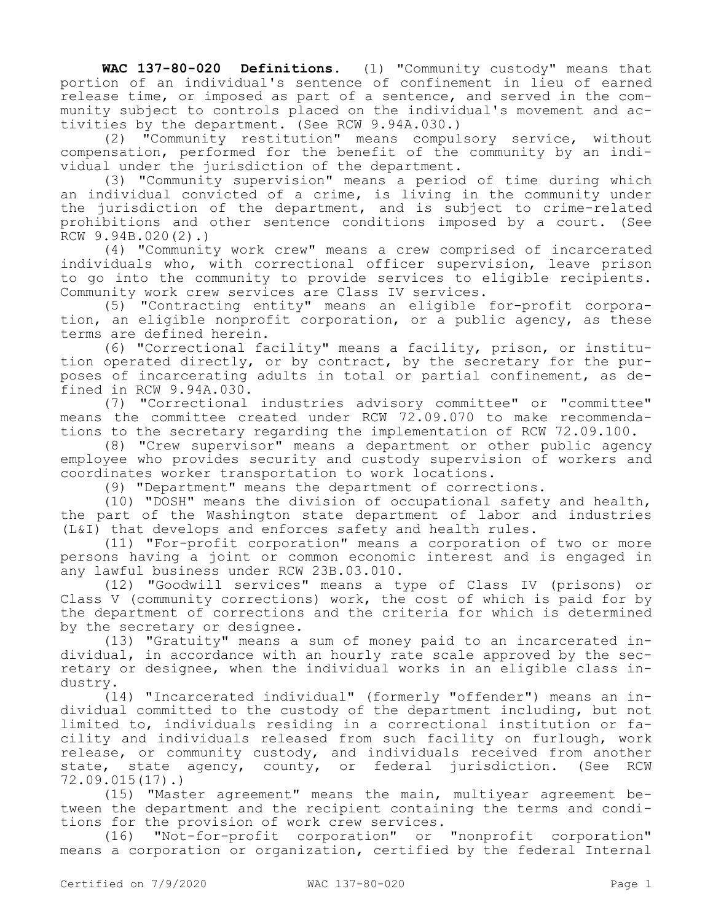**WAC 137-80-020 Definitions.** (1) "Community custody" means that portion of an individual's sentence of confinement in lieu of earned release time, or imposed as part of a sentence, and served in the community subject to controls placed on the individual's movement and activities by the department. (See RCW 9.94A.030.)

(2) "Community restitution" means compulsory service, without compensation, performed for the benefit of the community by an individual under the jurisdiction of the department.

(3) "Community supervision" means a period of time during which an individual convicted of a crime, is living in the community under the jurisdiction of the department, and is subject to crime-related prohibitions and other sentence conditions imposed by a court. (See RCW 9.94B.020(2).)

(4) "Community work crew" means a crew comprised of incarcerated individuals who, with correctional officer supervision, leave prison to go into the community to provide services to eligible recipients. Community work crew services are Class IV services.

(5) "Contracting entity" means an eligible for-profit corporation, an eligible nonprofit corporation, or a public agency, as these terms are defined herein.

(6) "Correctional facility" means a facility, prison, or institution operated directly, or by contract, by the secretary for the purposes of incarcerating adults in total or partial confinement, as defined in RCW 9.94A.030.

(7) "Correctional industries advisory committee" or "committee" means the committee created under RCW 72.09.070 to make recommendations to the secretary regarding the implementation of RCW 72.09.100.

(8) "Crew supervisor" means a department or other public agency employee who provides security and custody supervision of workers and coordinates worker transportation to work locations.

(9) "Department" means the department of corrections.

(10) "DOSH" means the division of occupational safety and health, the part of the Washington state department of labor and industries (L&I) that develops and enforces safety and health rules.

(11) "For-profit corporation" means a corporation of two or more persons having a joint or common economic interest and is engaged in any lawful business under RCW 23B.03.010.

(12) "Goodwill services" means a type of Class IV (prisons) or Class V (community corrections) work, the cost of which is paid for by the department of corrections and the criteria for which is determined by the secretary or designee.

(13) "Gratuity" means a sum of money paid to an incarcerated individual, in accordance with an hourly rate scale approved by the secretary or designee, when the individual works in an eligible class industry.

(14) "Incarcerated individual" (formerly "offender") means an individual committed to the custody of the department including, but not limited to, individuals residing in a correctional institution or facility and individuals released from such facility on furlough, work release, or community custody, and individuals received from another state, state agency, county, or federal jurisdiction. (See RCW 72.09.015(17).)

(15) "Master agreement" means the main, multiyear agreement between the department and the recipient containing the terms and conditions for the provision of work crew services.

(16) "Not-for-profit corporation" or "nonprofit corporation" means a corporation or organization, certified by the federal Internal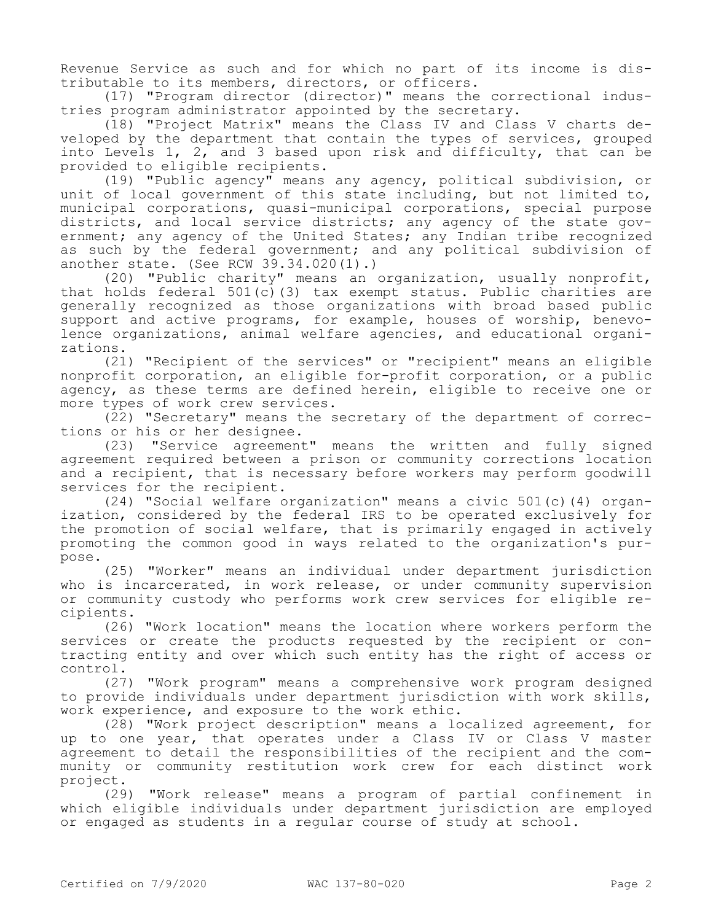Revenue Service as such and for which no part of its income is distributable to its members, directors, or officers.

(17) "Program director (director)" means the correctional industries program administrator appointed by the secretary.

(18) "Project Matrix" means the Class IV and Class V charts developed by the department that contain the types of services, grouped into Levels 1, 2, and 3 based upon risk and difficulty, that can be provided to eligible recipients.

(19) "Public agency" means any agency, political subdivision, or unit of local government of this state including, but not limited to, municipal corporations, quasi-municipal corporations, special purpose districts, and local service districts; any agency of the state government; any agency of the United States; any Indian tribe recognized as such by the federal government; and any political subdivision of another state. (See RCW 39.34.020(1).)

(20) "Public charity" means an organization, usually nonprofit, that holds federal  $501(c)(3)$  tax exempt status. Public charities are generally recognized as those organizations with broad based public support and active programs, for example, houses of worship, benevolence organizations, animal welfare agencies, and educational organizations.

(21) "Recipient of the services" or "recipient" means an eligible nonprofit corporation, an eligible for-profit corporation, or a public agency, as these terms are defined herein, eligible to receive one or more types of work crew services.

(22) "Secretary" means the secretary of the department of corrections or his or her designee.

(23) "Service agreement" means the written and fully signed agreement required between a prison or community corrections location and a recipient, that is necessary before workers may perform goodwill services for the recipient.

(24) "Social welfare organization" means a civic 501(c)(4) organization, considered by the federal IRS to be operated exclusively for the promotion of social welfare, that is primarily engaged in actively promoting the common good in ways related to the organization's purpose.

(25) "Worker" means an individual under department jurisdiction who is incarcerated, in work release, or under community supervision or community custody who performs work crew services for eligible recipients.

(26) "Work location" means the location where workers perform the services or create the products requested by the recipient or contracting entity and over which such entity has the right of access or control.

(27) "Work program" means a comprehensive work program designed to provide individuals under department jurisdiction with work skills, work experience, and exposure to the work ethic.

(28) "Work project description" means a localized agreement, for up to one year, that operates under a Class IV or Class V master agreement to detail the responsibilities of the recipient and the community or community restitution work crew for each distinct work project.

(29) "Work release" means a program of partial confinement in which eligible individuals under department jurisdiction are employed or engaged as students in a regular course of study at school.